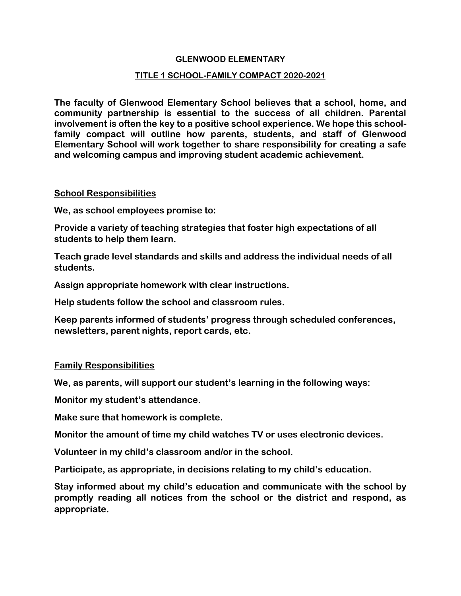#### **GLENWOOD ELEMENTARY**

#### **TITLE 1 SCHOOL-FAMILY COMPACT 2020-2021**

**The faculty of Glenwood Elementary School believes that a school, home, and community partnership is essential to the success of all children. Parental involvement is often the key to a positive school experience. We hope this schoolfamily compact will outline how parents, students, and staff of Glenwood Elementary School will work together to share responsibility for creating a safe and welcoming campus and improving student academic achievement.** 

## **School Responsibilities**

**We, as school employees promise to:**

**Provide a variety of teaching strategies that foster high expectations of all students to help them learn.**

**Teach grade level standards and skills and address the individual needs of all students.** 

**Assign appropriate homework with clear instructions.**

**Help students follow the school and classroom rules.**

**Keep parents informed of students' progress through scheduled conferences, newsletters, parent nights, report cards, etc.**

## **Family Responsibilities**

**We, as parents, will support our student's learning in the following ways:** 

**Monitor my student's attendance.** 

**Make sure that homework is complete.** 

**Monitor the amount of time my child watches TV or uses electronic devices.**

**Volunteer in my child's classroom and/or in the school.** 

**Participate, as appropriate, in decisions relating to my child's education.**

**Stay informed about my child's education and communicate with the school by promptly reading all notices from the school or the district and respond, as appropriate.**